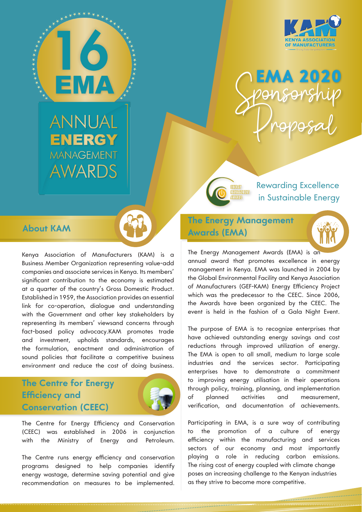



**ANNUAL ENERGY MANAGEMENT** AWARDS

## **About KAM**

Kenya Association of Manufacturers (KAM) is a Business Member Organization representing value-add companies and associate services in Kenya. Its members' significant contribution to the economy is estimated at a quarter of the country's Gross Domestic Product. Established in 1959, the Association provides an essential link for co-operation, dialogue and understanding with the Government and other key stakeholders by representing its members' viewsand concerns through fact-based policy advocacy.KAM promotes trade and investment, upholds standards, encourages the formulation, enactment and administration of sound policies that facilitate a competitive business environment and reduce the cost of doing business.

# **The Centre for Energy Efficiency and Conservation (CEEC)**



The Centre for Energy Efficiency and Conservation (CEEC) was established in 2006 in conjunction with the Ministry of Energy and Petroleum.

The Centre runs energy efficiency and conservation programs designed to help companies identify energy wastage, determine saving potential and give recommendation on measures to be implemented. in Sustainable Energy

Rewarding Excellence

# **The Energy Management Awards (EMA)**

ENERGY **MAYAGEMENT** 



The Energy Management Awards (EMA) is an annual award that promotes excellence in energy management in Kenya. EMA was launched in 2004 by the Global Environmental Facility and Kenya Association of Manufacturers (GEF-KAM) Energy Efficiency Project which was the predecessor to the CEEC. Since 2006, the Awards have been organized by the CEEC. The event is held in the fashion of a Gala Night Event.

The purpose of EMA is to recognize enterprises that have achieved outstanding energy savings and cost reductions through improved utilization of energy. The EMA is open to all small, medium to large scale industries and the services sector. Participating enterprises have to demonstrate a commitment to improving energy utilisation in their operations through policy, training, planning, and implementation of planned activities and measurement, verification, and documentation of achievements.

Participating in EMA, is a sure way of contributing to the promotion of a culture of energy efficiency within the manufacturing and services sectors of our economy and most importantly playing a role in reducing carbon emissions. The rising cost of energy coupled with climate change poses an increasing challenge to the Kenyan industries as they strive to become more competitive.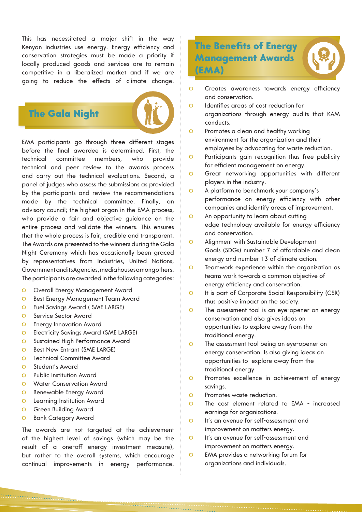This has necessitated a major shift in the way Kenyan industries use energy. Energy efficiency and conservation strategies must be made a priority if locally produced goods and services are to remain competitive in a liberalized market and if we are going to reduce the effects of climate change.

# The Gala Night



EMA participants go through three different stages before the final awardee is determined. First, the technical committee members, who provide technical and peer review to the awards process and carry out the technical evaluations. Second, a panel of judges who assess the submissions as provided by the participants and review the recommendations made by the technical committee. Finally, an advisory council; the highest organ in the EMA process, who provide a fair and objective guidance on the entire process and validate the winners. This ensures that the whole process is fair, credible and transparent. The Awards are presented to the winners during the Gala Night Ceremony which has occasionally been graced by representatives from Industries, United Nations, Government and its Agencies, media houses among others. The participants are awarded in the following categories:

- Overall Energy Management Award  $\Omega$
- $\circ$ Best Energy Management Team Award
- Fuel Savings Award ( SME LARGE)  $\Omega$
- $\circ$ Service Sector Award
- Energy Innovation Award  $\Omega$
- Electricity Savings Award (SME LARGE)  $\Omega$
- Sustained High Performance Award  $\Omega$
- $\circ$ Best New Entrant (SME LARGE)
- Technical Committee Award  $\Omega$
- Student's Award  $\Omega$
- Public Institution Award  $\circ$
- Water Conservation Award  $\Omega$
- Renewable Energy Award  $\Omega$
- Learning Institution Award  $\circ$
- Green Building Award  $\circ$
- Bank Category Award  $\Omega$

The awards are not targeted at the achievement of the highest level of savings (which may be the result of a one-off energy investment measure), but rather to the overall systems, which encourage continual improvements in energy performance.

# The Benefits of Energy Management Awards (EMA)



- Identifies areas of cost reduction for  $\Omega$ organizations through energy audits that KAM conducts.
- Promotes a clean and healthy working  $\Omega$ environment for the organization and their employees by advocating for waste reduction.
- $\Omega$ Participants gain recognition thus free publicity for efficient management on energy.
- Great networking opportunities with different  $\Omega$ players in the industry.
- $\Omega$ A platform to benchmark your company's performance on energy efficiency with other companies and identify areas of improvement.
- An opportunity to learn about cutting  $\mathbf O$ edge technology available for energy efficiency and conservation.
- $\overline{O}$ Alignment with Sustainable Development Goals (SDGs) number 7 of affordable and clean energy and number 13 of climate action.
- Teamwork experience within the organization as  $\Omega$ teams work towards a common objective of energy efficiency and conservation.
- $\overline{O}$ It is part of Corporate Social Responsibility (CSR) thus positive impact on the society.
- $\overline{O}$ The assessment tool is an eye-opener on energy conservation and also gives ideas on opportunities to explore away from the traditional energy.
- $\Omega$ The assessment tool being an eye-opener on energy conservation. Is also giving ideas on opportunities to explore away from the traditional energy.
- $\Omega$ Promotes excellence in achievement of energy savings.
- $\Omega$ Promotes waste reduction.
- The cost element related to EMA increased  $\Omega$ earnings for organizations.
- $\Omega$ It's an avenue for self-assessment and improvement on matters energy.
- It's an avenue for self-assessment and  $\Omega$ improvement on matters energy.
- $\overline{O}$ EMA provides a networking forum for organizations and individuals.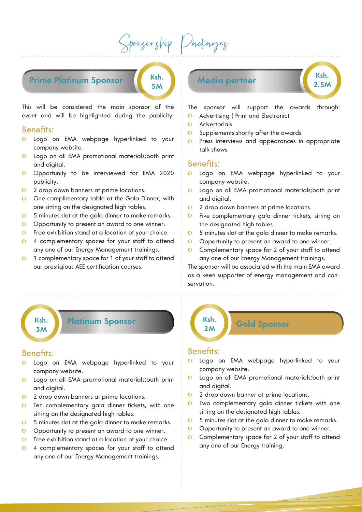Sponsorship Packages

**5M**

**Prime Platinum Sponsor Ksh.** 

This will be considered the main sponsor of the event and will be highlighted during the publicity.

### Benefits:

- Logo on EMA webpage hyperlinked to your company website.
- Logo on all EMA promotional materials;both print  $\overline{O}$ and digital.
- Opportunity to be interviewed for EMA 2020 publicity.
- 2 drop down banners at prime locations.  $\circ$
- One complimentary table at the Gala Dinner, with  $\Omega$ one sitting on the designated high tables.
- 5 minutes slot at the gala dinner to make remarks.  $\overline{O}$
- Opportunity to present an award to one winner.  $\overline{O}$
- $\overline{O}$ Free exhibition stand at a location of your choice.
- 4 complementary spaces for your staff to attend  $\overline{O}$ any one of our Energy Management trainings.
- 1 complementary space for 1 of your staff to attend  $\overline{O}$ our prestigious AEE certification courses.

# **Media partner Ksh.**<br> **Ksh.**

**2.5M**

The sponsor will support the awards through:

- $\Omega$ Advertising ( Print and Electronic)
- **Advertorials**  $\Omega$
- Supplements shortly after the awards  $\Omega$
- Press interviews and appearances in appropriate  $\Omega$ talk shows

#### Benefits:

- Logo on EMA webpage hyperlinked to your company website.
- Logo on all EMA promotional materials;both print  $\Omega$ and digital.
- 2 drop down banners at prime locations.  $\Omega$
- $\overline{O}$ Five complementary gala dinner tickets; sitting on the designated high tables.
- $\overline{O}$ 5 minutes slot at the gala dinner to make remarks.
- Opportunity to present an award to one winner.  $\Omega$
- Complementary space for 2 of your staff to attend  $\Omega$ any one of our Energy Management trainings.

The sponsor will be associated with the main EMA award as a keen supporter of energy management and conservation.

**3M**

## **Ksh. Platinum Sponsor**

#### Benefits:

- Logo on EMA webpage hyperlinked to your  $\Omega$ company website.
- Logo on all EMA promotional materials;both print  $\circ$ and digital.
- 2 drop down banners at prime locations.  $\overline{O}$
- Ten complementary gala dinner tickets, with one  $\Omega$ sitting on the designated high tables.
- 5 minutes slot at the gala dinner to make remarks.  $\circ$
- $\overline{O}$ Opportunity to present an award to one winner.
- Free exhibition stand at a location of your choice.  $\overline{O}$
- $\Omega$ 4 complementary spaces for your staff to attend any one of our Energy Management trainings.

**Gold Sponsor Ksh. 2M**

#### Benefits:

- Logo on EMA webpage hyperlinked to your company website.
- Logo on all EMA promotional materials;both print  $\overline{O}$ and digital.
- $\Omega$ 2 drop down banner at prime locations.
- Two complementary gala dinner tickets with one  $\overline{O}$ sitting on the designated high tables.
- 5 minutes slot at the gala dinner to make remarks.  $\Omega$
- Opportunity to present an award to one winner.  $\Omega$
- Complementary space for 2 of your staff to attend  $\Omega$ any one of our Energy training.